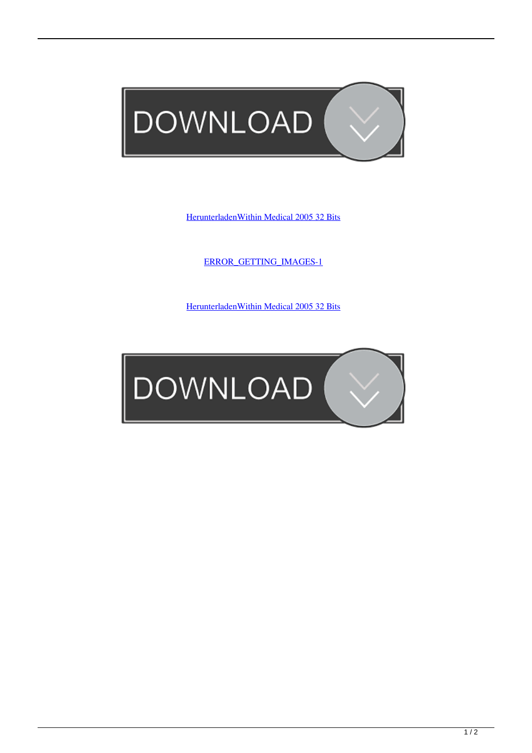

[HerunterladenWithin Medical 2005 32 Bits](http://urluss.com/15dr0q)

[ERROR\\_GETTING\\_IMAGES-1](http://urluss.com/15dr0q)

[HerunterladenWithin Medical 2005 32 Bits](http://urluss.com/15dr0q)